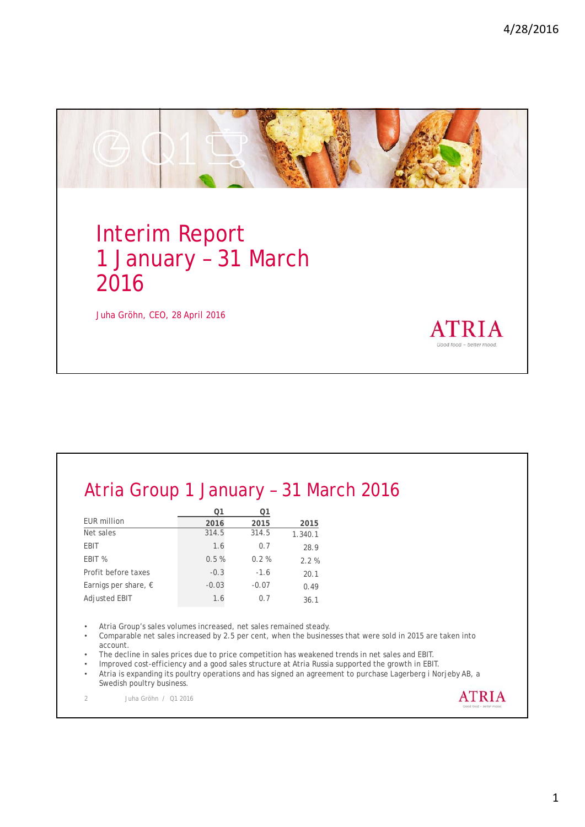

# Atria Group 1 January – 31 March 2016

|                               | ი1      | Ο1      |         |
|-------------------------------|---------|---------|---------|
| <b>EUR million</b>            | 2016    | 2015    | 2015    |
| Net sales                     | 314.5   | 314.5   | 1.340.1 |
| EBIT                          | 1.6     | 0.7     | 28.9    |
| EBIT %                        | 0.5%    | 0.2%    | 2.2%    |
| Profit before taxes           | $-0.3$  | $-1.6$  | 20.1    |
| Earnigs per share, $\epsilon$ | $-0.03$ | $-0.07$ | 0.49    |
| <b>Adjusted EBIT</b>          | 1.6     | 0.7     | 36.1    |

• Atria Group's sales volumes increased, net sales remained steady.

- Comparable net sales increased by 2.5 per cent, when the businesses that were sold in 2015 are taken into account.
- The decline in sales prices due to price competition has weakened trends in net sales and EBIT.
- Improved cost-efficiency and a good sales structure at Atria Russia supported the growth in EBIT.
- Atria is expanding its poultry operations and has signed an agreement to purchase Lagerberg i Norjeby AB, a Swedish poultry business.

2 Juha Gröhn / Q1 2016

**ATRIA**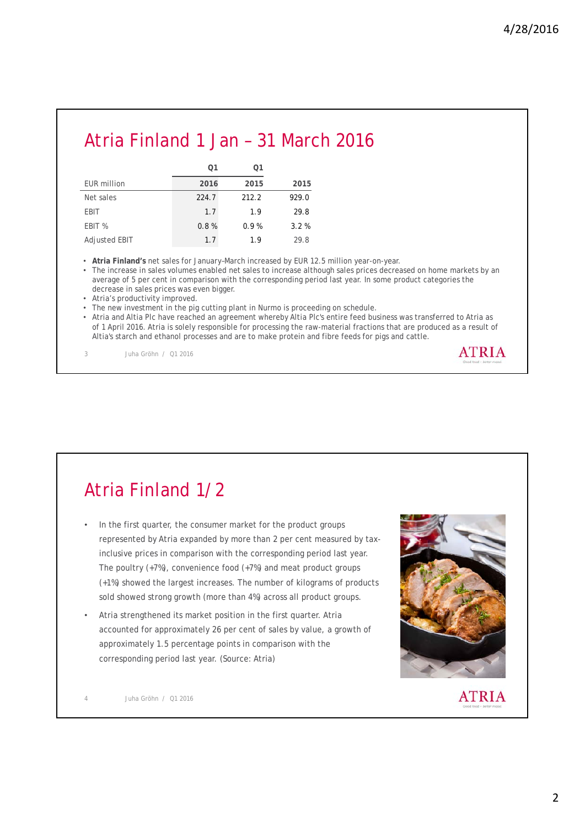### Atria Finland 1 Jan – 31 March 2016

|                      | Ο1    | Ο1    |       |
|----------------------|-------|-------|-------|
| <b>EUR million</b>   | 2016  | 2015  | 2015  |
| Net sales            | 224.7 | 212.2 | 929.0 |
| EBIT                 | 1.7   | 1.9   | 29.8  |
| EBIT %               | 0.8%  | 0.9%  | 3.2%  |
| <b>Adjusted EBIT</b> | 1.7   | 1.9   | 29.8  |

• **Atria Finland's** net sales for January–March increased by EUR 12.5 million year-on-year.

• The increase in sales volumes enabled net sales to increase although sales prices decreased on home markets by an average of 5 per cent in comparison with the corresponding period last year. In some product categories the decrease in sales prices was even bigger.

• Atria's productivity improved.

• The new investment in the pig cutting plant in Nurmo is proceeding on schedule.

• Atria and Altia Plc have reached an agreement whereby Altia Plc's entire feed business was transferred to Atria as of 1 April 2016. Atria is solely responsible for processing the raw-material fractions that are produced as a result of Altia's starch and ethanol processes and are to make protein and fibre feeds for pigs and cattle.

3 Juha Gröhn / Q1 2016



- In the first quarter, the consumer market for the product groups represented by Atria expanded by more than 2 per cent measured by taxinclusive prices in comparison with the corresponding period last year. The poultry (+7%), convenience food (+7%) and meat product groups (+1%) showed the largest increases. The number of kilograms of products sold showed strong growth (more than 4%) across all product groups.
- Atria strengthened its market position in the first quarter. Atria accounted for approximately 26 per cent of sales by value, a growth of approximately 1.5 percentage points in comparison with the corresponding period last year. (Source: Atria)



**ATRIA** 

4 Juha Gröhn / Q1 2016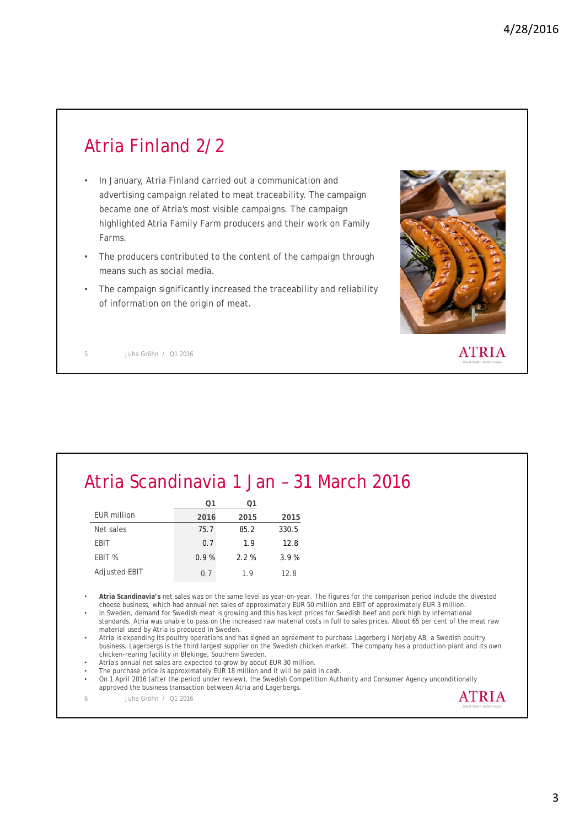# Atria Finland 2/2

- In January, Atria Finland carried out a communication and advertising campaign related to meat traceability. The campaign became one of Atria's most visible campaigns. The campaign highlighted Atria Family Farm producers and their work on Family Farms.
- The producers contributed to the content of the campaign through means such as social media.
- The campaign significantly increased the traceability and reliability of information on the origin of meat.



5 Juha Gröhn / Q1 2016

| Atria Scandinavia 1 Jan - 31 March 2016 |  |  |  |
|-----------------------------------------|--|--|--|
|-----------------------------------------|--|--|--|

|               | ౧1   |         |       |
|---------------|------|---------|-------|
| EUR million   | 2016 | 2015    | 2015  |
| Net sales     | 75.7 | 85.2    | 330.5 |
| EBIT          | 0.7  | 1.9     | 12.8  |
| EBIT %        | 0.9% | $2.2\%$ | 3.9%  |
| Adjusted EBIT | 0.7  | 19      | 12.8  |

• **Atria Scandinavia's** net sales was on the same level as year-on-year. The figures for the comparison period include the divested cheese business, which had annual net sales of approximately EUR 50 million and EBIT of approximately EUR 3 million.

• In Sweden, demand for Swedish meat is growing and this has kept prices for Swedish beef and pork high by international standards. Atria was unable to pass on the increased raw material costs in full to sales prices. About 65 per cent of the meat raw material used by Atria is produced in Sweden.

• Atria is expanding its poultry operations and has signed an agreement to purchase Lagerberg i Norjeby AB, a Swedish poultry business. Lagerbergs is the third largest supplier on the Swedish chicken market. The company has a production plant and its own chicken-rearing facility in Blekinge, Southern Sweden.

• Atria's annual net sales are expected to grow by about EUR 30 million.

The purchase price is approximately EUR 18 million and it will be paid in cash. • On 1 April 2016 (after the period under review), the Swedish Competition Authority and Consumer Agency unconditionally approved the business transaction between Atria and Lagerbergs.

6 Juha Gröhn / Q1 2016

**ATRIA**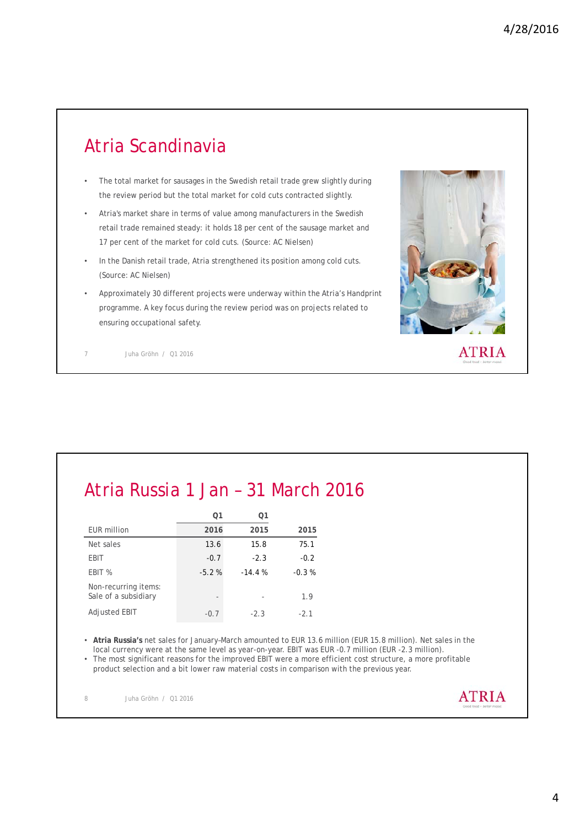# Atria Scandinavia

- The total market for sausages in the Swedish retail trade grew slightly during the review period but the total market for cold cuts contracted slightly.
- Atria's market share in terms of value among manufacturers in the Swedish retail trade remained steady: it holds 18 per cent of the sausage market and 17 per cent of the market for cold cuts. (Source: AC Nielsen)
- In the Danish retail trade, Atria strengthened its position among cold cuts. (Source: AC Nielsen)
- Approximately 30 different projects were underway within the Atria's Handprint programme. A key focus during the review period was on projects related to ensuring occupational safety.



7 Juha Gröhn / Q1 2016

# Atria Russia 1 Jan – 31 March 2016

|                                              | Ο1                       | Ο1       |         |
|----------------------------------------------|--------------------------|----------|---------|
| EUR million                                  | 2016                     | 2015     | 2015    |
| Net sales                                    | 13.6                     | 15.8     | 75.1    |
| EBIT                                         | $-0.7$                   | $-2.3$   | $-0.2$  |
| EBIT %                                       | $-5.2%$                  | $-14.4%$ | $-0.3%$ |
| Non-recurring items:<br>Sale of a subsidiary | $\overline{\phantom{a}}$ |          | 1.9     |
| Adjusted EBIT                                | $-0.7$                   | $-2.3$   | $-2.1$  |

• **Atria Russia's** net sales for January–March amounted to EUR 13.6 million (EUR 15.8 million). Net sales in the local currency were at the same level as year-on-year. EBIT was EUR -0.7 million (EUR -2.3 million). • The most significant reasons for the improved EBIT were a more efficient cost structure, a more profitable

product selection and a bit lower raw material costs in comparison with the previous year.

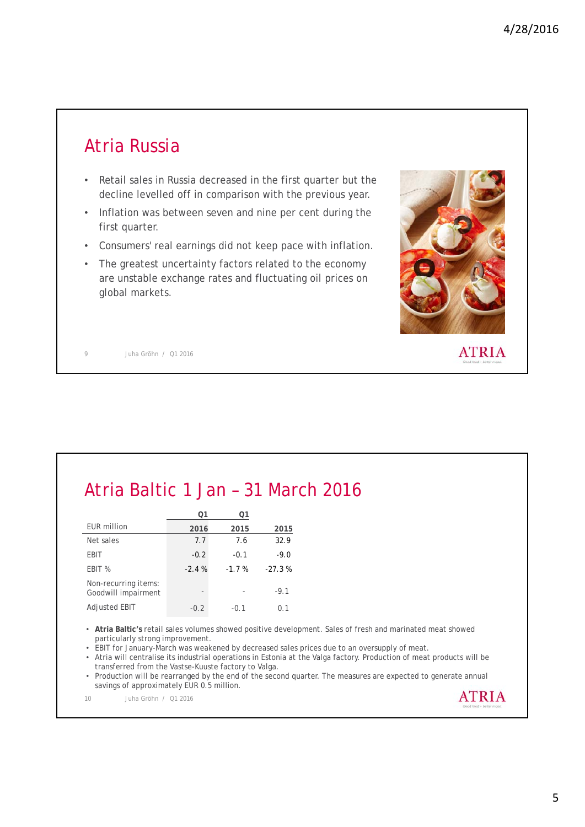### Atria Russia

- Retail sales in Russia decreased in the first quarter but the decline levelled off in comparison with the previous year.
- Inflation was between seven and nine per cent during the first quarter.
- Consumers' real earnings did not keep pace with inflation.
- The greatest uncertainty factors related to the economy are unstable exchange rates and fluctuating oil prices on global markets.



9 Juha Gröhn / Q1 2016

| Atria Baltic 1 Jan - 31 March 2016 |               |         |        |  |
|------------------------------------|---------------|---------|--------|--|
|                                    | Ο1            | 01      |        |  |
| EUR million                        | 2016          | 2015    | 2015   |  |
| Net sales                          | 7.7           | 7.6     | 32.9   |  |
| <b>EBIT</b>                        | $-0.2$        | $-0.1$  | $-9.0$ |  |
| $F\cap I\subseteq M$               | $\sim$ $\sim$ | $7 - 1$ | 27.20  |  |

| FRIT %                                      | $-2.4%$ | $-1.7%$ | $-27.3%$ |
|---------------------------------------------|---------|---------|----------|
| Non-recurring items:<br>Goodwill impairment |         |         | $-91$    |
| Adjusted EBIT                               | $-0.2$  | $-0.1$  | 0.1      |

• **Atria Baltic's** retail sales volumes showed positive development. Sales of fresh and marinated meat showed particularly strong improvement.

• EBIT for January-March was weakened by decreased sales prices due to an oversupply of meat.

• Atria will centralise its industrial operations in Estonia at the Valga factory. Production of meat products will be transferred from the Vastse-Kuuste factory to Valga.

• Production will be rearranged by the end of the second quarter. The measures are expected to generate annual savings of approximately EUR 0.5 million. **ATRIA** 

10 Juha Gröhn / Q1 2016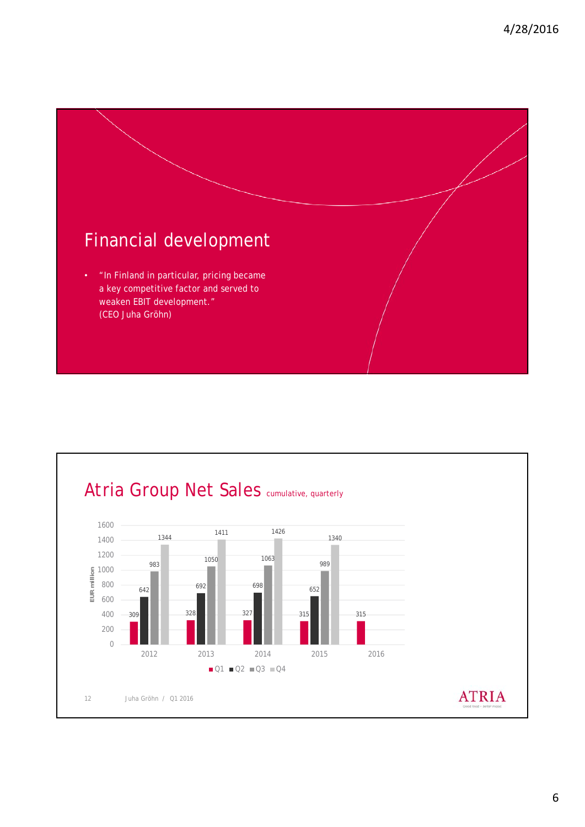

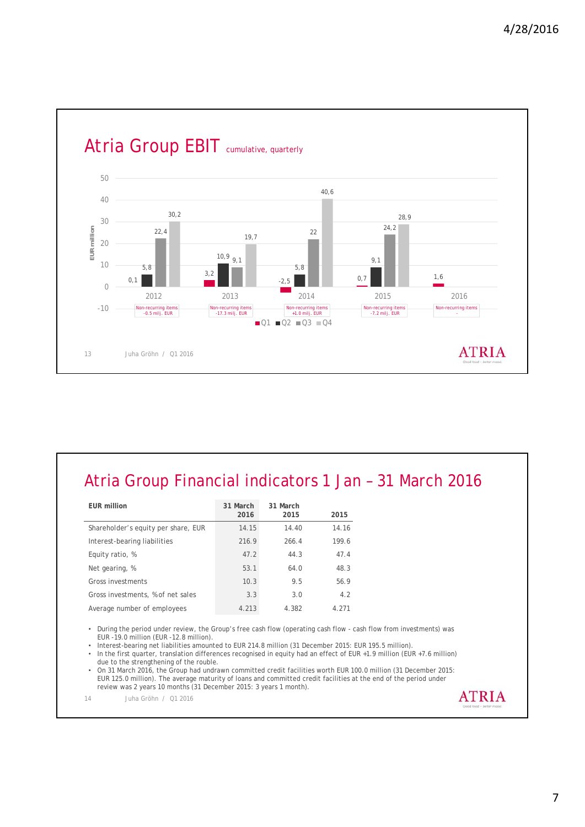

### Atria Group Financial indicators 1 Jan – 31 March 2016

| EUR million                         | 31 March<br>2016 | 31 March<br>2015 | 2015  |
|-------------------------------------|------------------|------------------|-------|
| Shareholder's equity per share, EUR | 14.15            | 14.40            | 14.16 |
| Interest-bearing liabilities        | 216.9            | 266.4            | 199.6 |
| Equity ratio, %                     | 47.2             | 44.3             | 47.4  |
| Net gearing, %                      | 53.1             | 64.0             | 48.3  |
| Gross investments                   | 10.3             | 9.5              | 56.9  |
| Gross investments, % of net sales   | 3.3              | 3.0              | 4.2   |
| Average number of employees         | 4.213            | 4.382            | 4 271 |

• During the period under review, the Group's free cash flow (operating cash flow - cash flow from investments) was EUR -19.0 million (EUR -12.8 million).

• Interest-bearing net liabilities amounted to EUR 214.8 million (31 December 2015: EUR 195.5 million).<br>• In the first quarter, translation differences recognised in equity had an effect of EUR +1.9 million (EU

• In the first quarter, translation differences recognised in equity had an effect of EUR +1.9 million (EUR +7.6 million) due to the strengthening of the rouble.

• On 31 March 2016, the Group had undrawn committed credit facilities worth EUR 100.0 million (31 December 2015: EUR 125.0 million). The average maturity of loans and committed credit facilities at the end of the period under review was 2 years 10 months (31 December 2015: 3 years 1 month).

14 Juha Gröhn / Q1 2016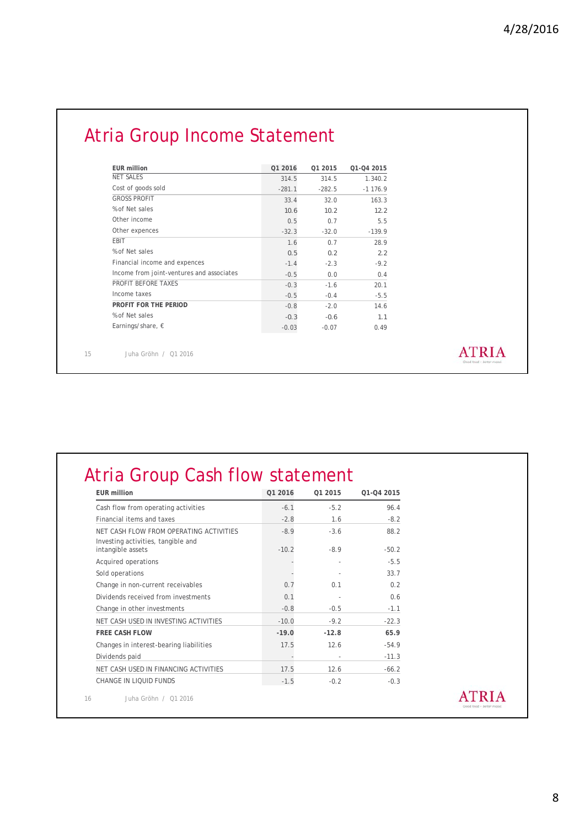# Atria Group Income Statement

| <b>EUR million</b>                        | Q1 2016  | Q1 2015  | Q1-Q4 2015 |
|-------------------------------------------|----------|----------|------------|
| <b>NET SALES</b>                          | 314.5    | 314.5    | 1.340.2    |
| Cost of goods sold                        | $-281.1$ | $-282.5$ | $-1176.9$  |
| <b>GROSS PROFIT</b>                       | 33.4     | 32.0     | 163.3      |
| % of Net sales                            | 10.6     | 10.2     | 12.2       |
| Other income                              | 0.5      | 0.7      | 5.5        |
| Other expences                            | $-32.3$  | $-32.0$  | $-139.9$   |
| <b>FBIT</b>                               | 1.6      | 0.7      | 28.9       |
| % of Net sales                            | 0.5      | 0.2      | 2.2        |
| Financial income and expences             | $-1.4$   | $-2.3$   | $-9.2$     |
| Income from joint-ventures and associates | $-0.5$   | 0.0      | 0.4        |
| PROFIT BEFORE TAXES                       | $-0.3$   | $-1.6$   | 20.1       |
| Income taxes                              | $-0.5$   | $-0.4$   | $-5.5$     |
| PROFIT FOR THE PERIOD                     | $-0.8$   | $-2.0$   | 14.6       |
| % of Net sales                            | $-0.3$   | $-0.6$   | 1.1        |
| Earnings/share, $\epsilon$                | $-0.03$  | $-0.07$  | 0.49       |

15 Juha Gröhn / Q1 2016

### **ATRIA**

# Atria Group Cash flow statement

| <b>EUR</b> million                                      | Q1 2016 | 01 2015 | 01-04 2015 |
|---------------------------------------------------------|---------|---------|------------|
| Cash flow from operating activities                     | $-6.1$  | $-5.2$  | 96.4       |
| Financial items and taxes                               | $-2.8$  | 1.6     | $-8.2$     |
| NET CASH FLOW FROM OPERATING ACTIVITIES                 | $-8.9$  | $-3.6$  | 88.2       |
| Investing activities, tangible and<br>intangible assets | $-10.2$ | $-8.9$  | $-50.2$    |
| Acquired operations                                     |         |         | $-5.5$     |
| Sold operations                                         |         |         | 33.7       |
| Change in non-current receivables                       | 0.7     | 0.1     | 0.2        |
| Dividends received from investments                     | 0.1     |         | 0.6        |
| Change in other investments                             | $-0.8$  | $-0.5$  | $-1.1$     |
| NET CASH USED IN INVESTING ACTIVITIES                   | $-10.0$ | $-9.2$  | $-22.3$    |
| <b>FREE CASH FLOW</b>                                   | $-19.0$ | $-12.8$ | 65.9       |
| Changes in interest-bearing liabilities                 | 17.5    | 12.6    | $-54.9$    |
| Dividends paid                                          |         |         | $-11.3$    |
| NET CASH USED IN FINANCING ACTIVITIES                   | 17.5    | 12.6    | $-66.2$    |
| CHANGE IN LIOUID FUNDS                                  | $-1.5$  | $-0.2$  | $-0.3$     |
| Juha Gröhn / 01 2016                                    |         |         |            |

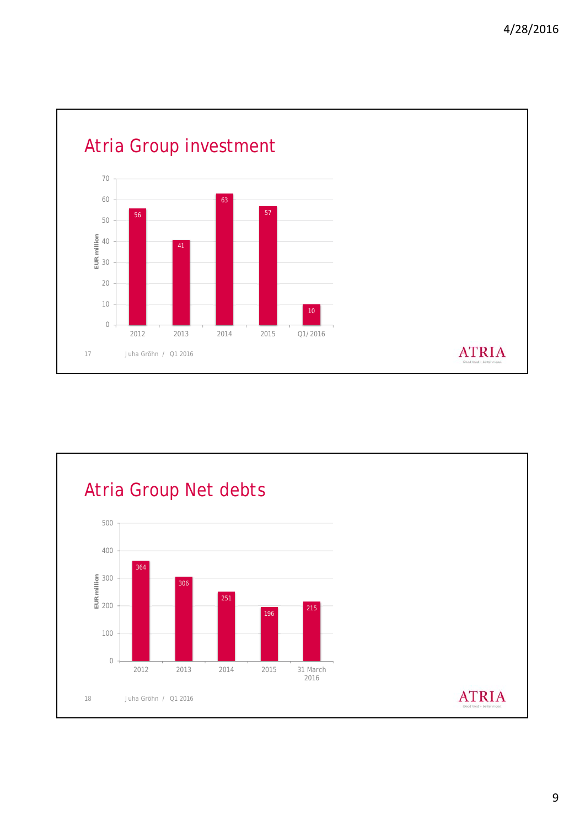

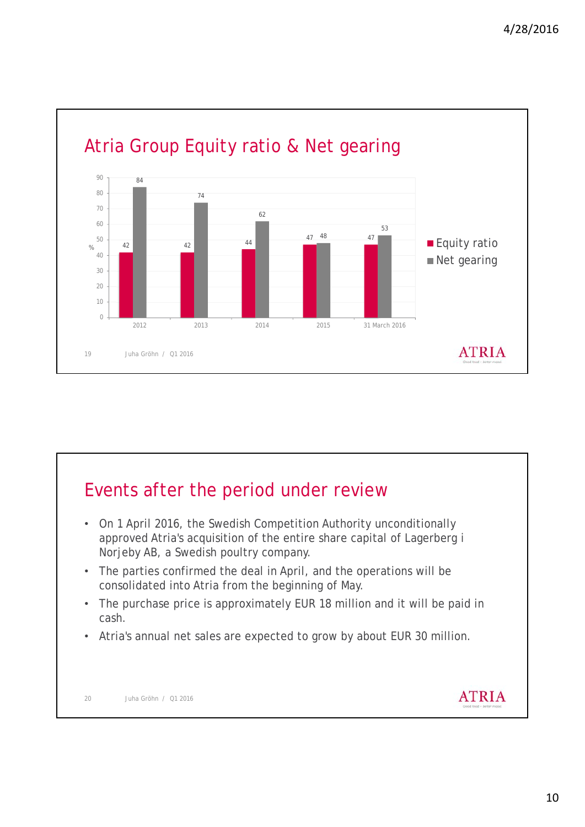

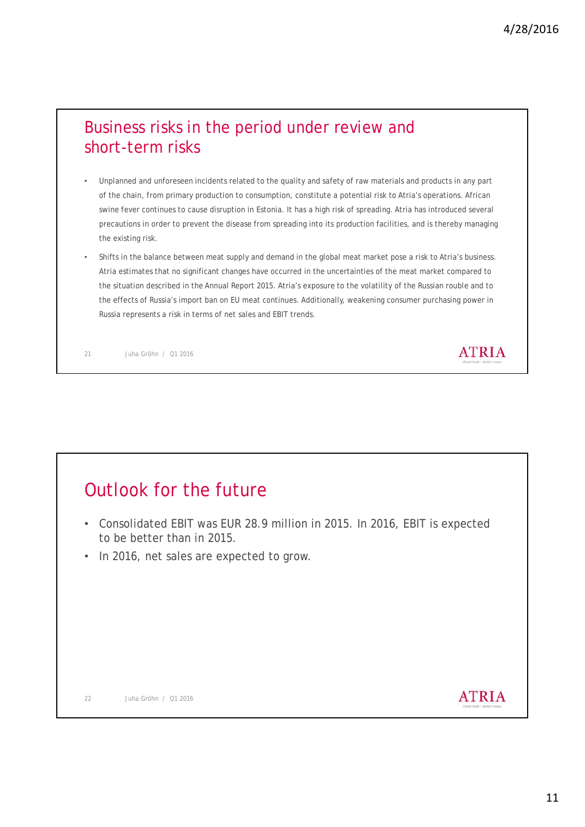#### Business risks in the period under review and short-term risks

- Unplanned and unforeseen incidents related to the quality and safety of raw materials and products in any part of the chain, from primary production to consumption, constitute a potential risk to Atria's operations. African swine fever continues to cause disruption in Estonia. It has a high risk of spreading. Atria has introduced several precautions in order to prevent the disease from spreading into its production facilities, and is thereby managing the existing risk.
- Shifts in the balance between meat supply and demand in the global meat market pose a risk to Atria's business. Atria estimates that no significant changes have occurred in the uncertainties of the meat market compared to the situation described in the Annual Report 2015. Atria's exposure to the volatility of the Russian rouble and to the effects of Russia's import ban on EU meat continues. Additionally, weakening consumer purchasing power in Russia represents a risk in terms of net sales and EBIT trends.

21 Juha Gröhn / Q1 2016

### Outlook for the future

- Consolidated EBIT was EUR 28.9 million in 2015. In 2016, EBIT is expected to be better than in 2015.
- In 2016, net sales are expected to grow.

**ATRIA** 

**ATRIA**